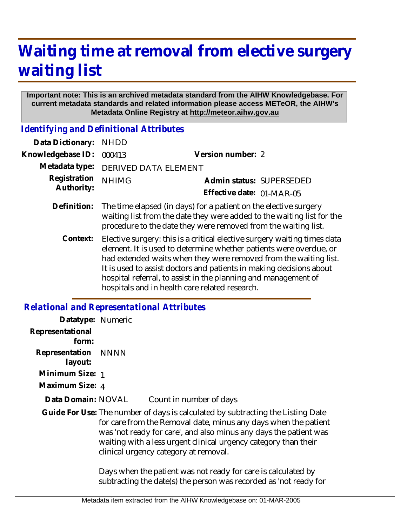## **Waiting time at removal from elective surgery waiting list**

## **Important note: This is an archived metadata standard from the AIHW Knowledgebase. For current metadata standards and related information please access METeOR, the AIHW's Metadata Online Registry at http://meteor.aihw.gov.au**

*Identifying and Definitional Attributes*

| Data Dictionary:           | <b>NHDD</b>                                                                                                                                                                                                                                                                                                                                                                                                   |                           |  |
|----------------------------|---------------------------------------------------------------------------------------------------------------------------------------------------------------------------------------------------------------------------------------------------------------------------------------------------------------------------------------------------------------------------------------------------------------|---------------------------|--|
| Knowledgebase ID:          | 000413                                                                                                                                                                                                                                                                                                                                                                                                        | Version number: 2         |  |
| Metadata type:             | <b>DERIVED DATA ELEMENT</b>                                                                                                                                                                                                                                                                                                                                                                                   |                           |  |
| Registration<br>Authority: | <b>NHIMG</b>                                                                                                                                                                                                                                                                                                                                                                                                  | Admin status: SUPERSEDED  |  |
|                            |                                                                                                                                                                                                                                                                                                                                                                                                               | Effective date: 01-MAR-05 |  |
| Definition:                | The time elapsed (in days) for a patient on the elective surgery<br>waiting list from the date they were added to the waiting list for the<br>procedure to the date they were removed from the waiting list.                                                                                                                                                                                                  |                           |  |
| Context:                   | Elective surgery: this is a critical elective surgery waiting times data<br>element. It is used to determine whether patients were overdue, or<br>had extended waits when they were removed from the waiting list.<br>It is used to assist doctors and patients in making decisions about<br>hospital referral, to assist in the planning and management of<br>hospitals and in health care related research. |                           |  |

## *Relational and Representational Attributes*

| Datatype: Numeric              |                                                                                                                                                                                                                                                                                                                                     |                                                                                                                                    |
|--------------------------------|-------------------------------------------------------------------------------------------------------------------------------------------------------------------------------------------------------------------------------------------------------------------------------------------------------------------------------------|------------------------------------------------------------------------------------------------------------------------------------|
| Representational<br>form:      |                                                                                                                                                                                                                                                                                                                                     |                                                                                                                                    |
| Representation NNNN<br>layout: |                                                                                                                                                                                                                                                                                                                                     |                                                                                                                                    |
| Minimum Size: 1                |                                                                                                                                                                                                                                                                                                                                     |                                                                                                                                    |
| Maximum Size: 4                |                                                                                                                                                                                                                                                                                                                                     |                                                                                                                                    |
| Data Domain: NOVAL             |                                                                                                                                                                                                                                                                                                                                     | Count in number of days                                                                                                            |
|                                | Guide For Use: The number of days is calculated by subtracting the Listing Date<br>for care from the Removal date, minus any days when the patient<br>was 'not ready for care', and also minus any days the patient was<br>waiting with a less urgent clinical urgency category than their<br>clinical urgency category at removal. |                                                                                                                                    |
|                                |                                                                                                                                                                                                                                                                                                                                     | Days when the patient was not ready for care is calculated by<br>subtracting the date(s) the person was recorded as 'not ready for |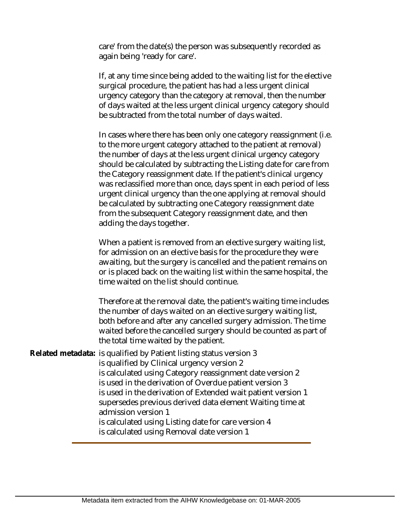care' from the date(s) the person was subsequently recorded as again being 'ready for care'.

If, at any time since being added to the waiting list for the elective surgical procedure, the patient has had a less urgent clinical urgency category than the category at removal, then the number of days waited at the less urgent clinical urgency category should be subtracted from the total number of days waited.

In cases where there has been only one category reassignment (i.e. to the more urgent category attached to the patient at removal) the number of days at the less urgent clinical urgency category should be calculated by subtracting the Listing date for care from the Category reassignment date. If the patient's clinical urgency was reclassified more than once, days spent in each period of less urgent clinical urgency than the one applying at removal should be calculated by subtracting one Category reassignment date from the subsequent Category reassignment date, and then adding the days together.

When a patient is removed from an elective surgery waiting list, for admission on an elective basis for the procedure they were awaiting, but the surgery is cancelled and the patient remains on or is placed back on the waiting list within the same hospital, the time waited on the list should continue.

Therefore at the removal date, the patient's waiting time includes the number of days waited on an elective surgery waiting list, both before and after any cancelled surgery admission. The time waited before the cancelled surgery should be counted as part of the total time waited by the patient.

Related metadata: is qualified by Patient listing status version 3 is qualified by Clinical urgency version 2 is calculated using Category reassignment date version 2 is used in the derivation of Overdue patient version 3 is used in the derivation of Extended wait patient version 1 supersedes previous derived data element Waiting time at admission version 1 is calculated using Listing date for care version 4 is calculated using Removal date version 1